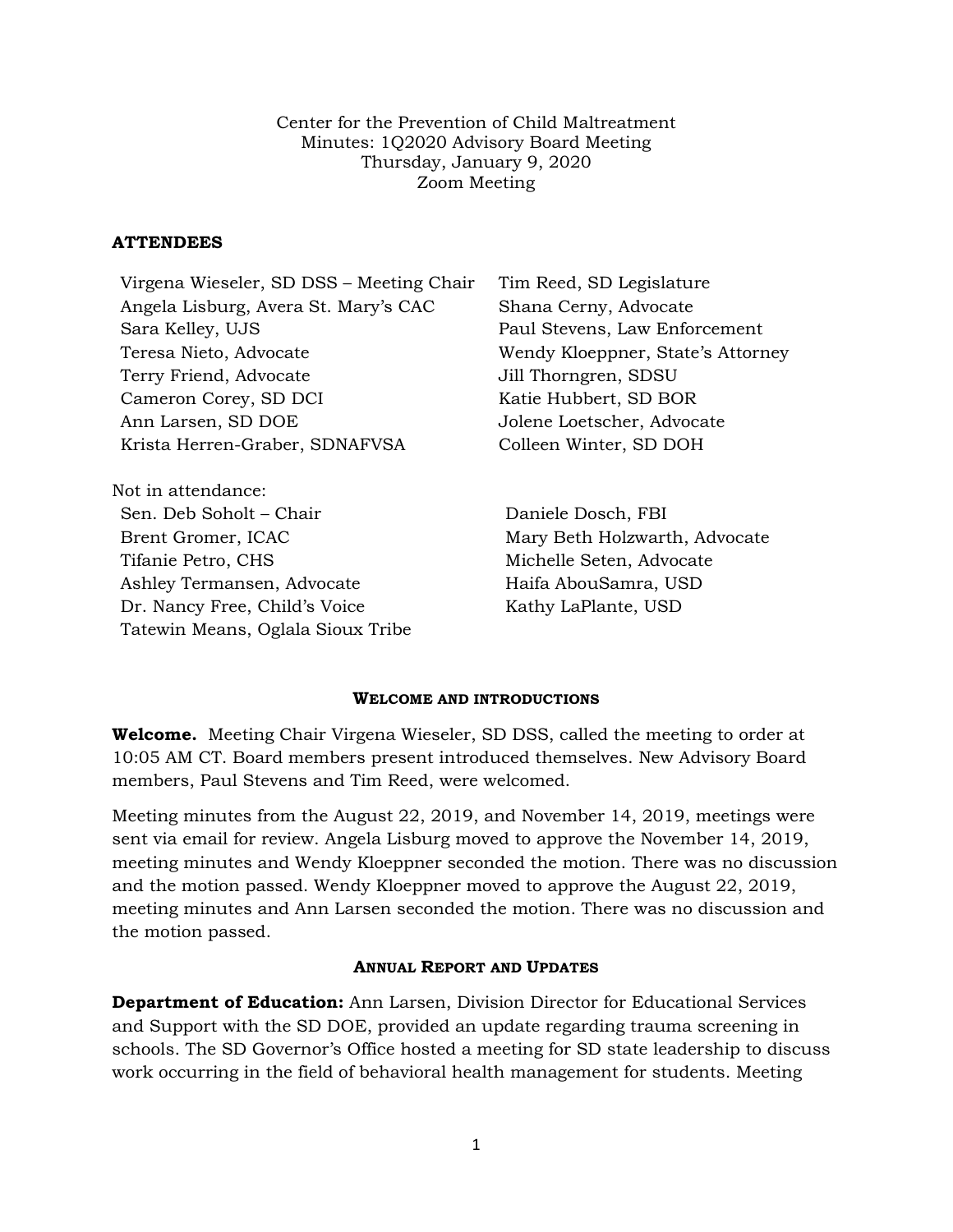Center for the Prevention of Child Maltreatment Minutes: 1Q2020 Advisory Board Meeting Thursday, January 9, 2020 Zoom Meeting

### **ATTENDEES**

Virgena Wieseler, SD DSS – Meeting Chair Tim Reed, SD Legislature Angela Lisburg, Avera St. Mary's CAC Shana Cerny, Advocate Sara Kelley, UJS Paul Stevens, Law Enforcement Teresa Nieto, Advocate Wendy Kloeppner, State's Attorney Terry Friend, Advocate Jill Thorngren, SDSU Cameron Corey, SD DCI Katie Hubbert, SD BOR Ann Larsen, SD DOE Jolene Loetscher, Advocate Krista Herren-Graber, SDNAFVSA Colleen Winter, SD DOH

Not in attendance: Sen. Deb Soholt – Chair Daniele Dosch, FBI Brent Gromer, ICAC Mary Beth Holzwarth, Advocate Tifanie Petro, CHS Michelle Seten, Advocate Ashley Termansen, Advocate Haifa AbouSamra, USD Dr. Nancy Free, Child's Voice Kathy LaPlante, USD Tatewin Means, Oglala Sioux Tribe

#### **WELCOME AND INTRODUCTIONS**

**Welcome.** Meeting Chair Virgena Wieseler, SD DSS, called the meeting to order at 10:05 AM CT. Board members present introduced themselves. New Advisory Board members, Paul Stevens and Tim Reed, were welcomed.

Meeting minutes from the August 22, 2019, and November 14, 2019, meetings were sent via email for review. Angela Lisburg moved to approve the November 14, 2019, meeting minutes and Wendy Kloeppner seconded the motion. There was no discussion and the motion passed. Wendy Kloeppner moved to approve the August 22, 2019, meeting minutes and Ann Larsen seconded the motion. There was no discussion and the motion passed.

#### **ANNUAL REPORT AND UPDATES**

**Department of Education:** Ann Larsen, Division Director for Educational Services and Support with the SD DOE, provided an update regarding trauma screening in schools. The SD Governor's Office hosted a meeting for SD state leadership to discuss work occurring in the field of behavioral health management for students. Meeting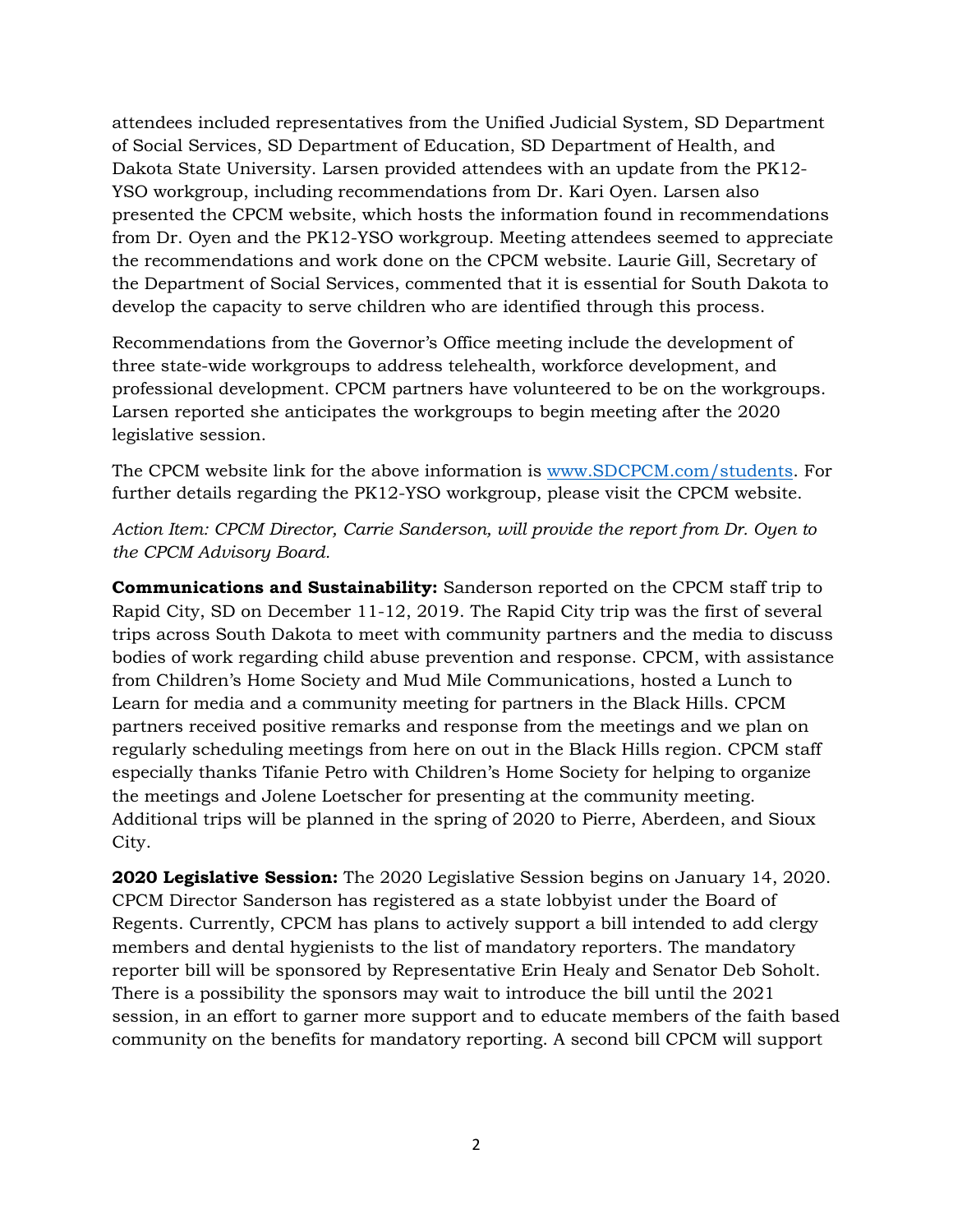attendees included representatives from the Unified Judicial System, SD Department of Social Services, SD Department of Education, SD Department of Health, and Dakota State University. Larsen provided attendees with an update from the PK12- YSO workgroup, including recommendations from Dr. Kari Oyen. Larsen also presented the CPCM website, which hosts the information found in recommendations from Dr. Oyen and the PK12-YSO workgroup. Meeting attendees seemed to appreciate the recommendations and work done on the CPCM website. Laurie Gill, Secretary of the Department of Social Services, commented that it is essential for South Dakota to develop the capacity to serve children who are identified through this process.

Recommendations from the Governor's Office meeting include the development of three state-wide workgroups to address telehealth, workforce development, and professional development. CPCM partners have volunteered to be on the workgroups. Larsen reported she anticipates the workgroups to begin meeting after the 2020 legislative session.

The CPCM website link for the above information is [www.SDCPCM.com/students.](http://www.sdcpcm.com/students) For further details regarding the PK12-YSO workgroup, please visit the CPCM website.

*Action Item: CPCM Director, Carrie Sanderson, will provide the report from Dr. Oyen to the CPCM Advisory Board.*

**Communications and Sustainability:** Sanderson reported on the CPCM staff trip to Rapid City, SD on December 11-12, 2019. The Rapid City trip was the first of several trips across South Dakota to meet with community partners and the media to discuss bodies of work regarding child abuse prevention and response. CPCM, with assistance from Children's Home Society and Mud Mile Communications, hosted a Lunch to Learn for media and a community meeting for partners in the Black Hills. CPCM partners received positive remarks and response from the meetings and we plan on regularly scheduling meetings from here on out in the Black Hills region. CPCM staff especially thanks Tifanie Petro with Children's Home Society for helping to organize the meetings and Jolene Loetscher for presenting at the community meeting. Additional trips will be planned in the spring of 2020 to Pierre, Aberdeen, and Sioux City.

**2020 Legislative Session:** The 2020 Legislative Session begins on January 14, 2020. CPCM Director Sanderson has registered as a state lobbyist under the Board of Regents. Currently, CPCM has plans to actively support a bill intended to add clergy members and dental hygienists to the list of mandatory reporters. The mandatory reporter bill will be sponsored by Representative Erin Healy and Senator Deb Soholt. There is a possibility the sponsors may wait to introduce the bill until the 2021 session, in an effort to garner more support and to educate members of the faith based community on the benefits for mandatory reporting. A second bill CPCM will support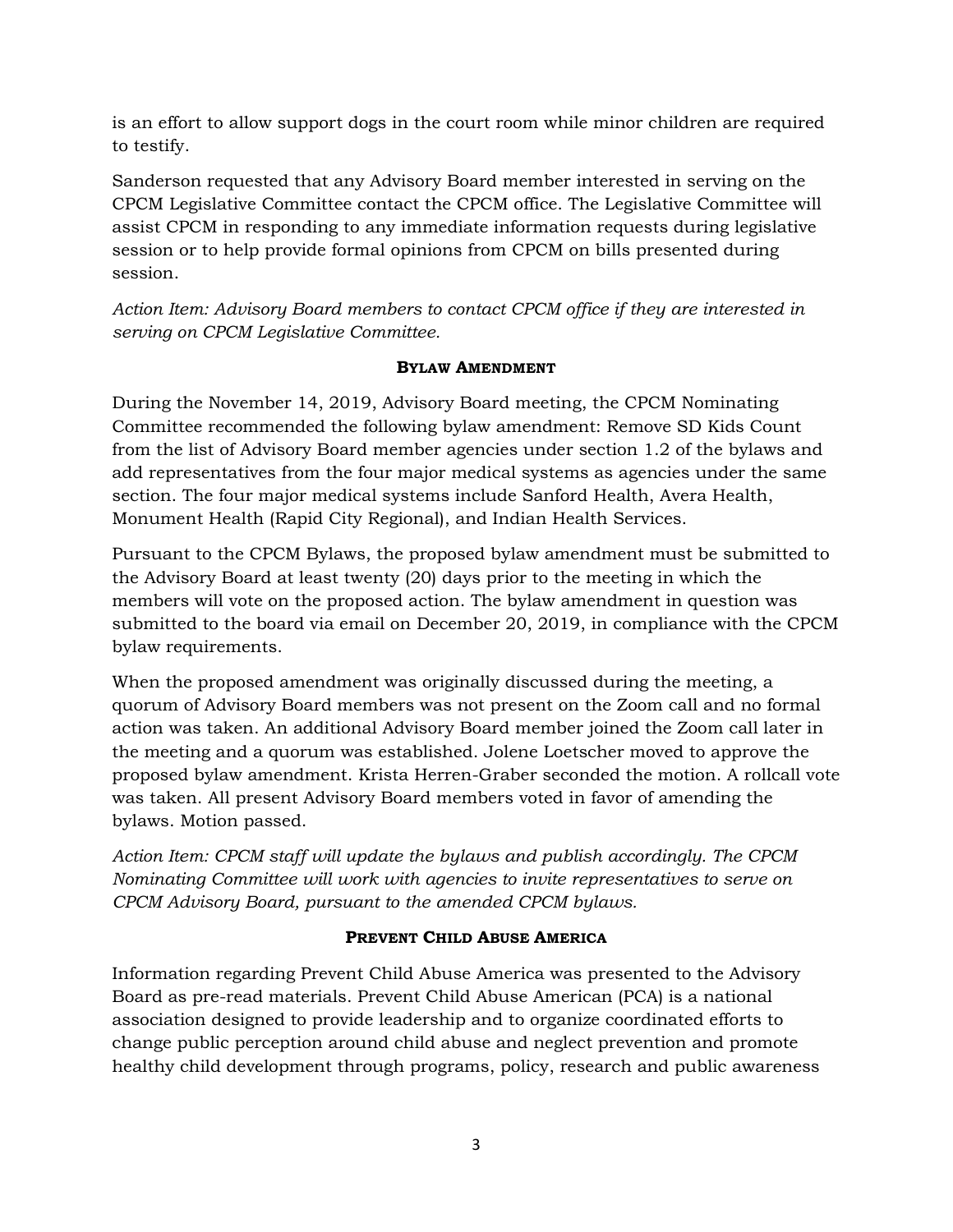is an effort to allow support dogs in the court room while minor children are required to testify.

Sanderson requested that any Advisory Board member interested in serving on the CPCM Legislative Committee contact the CPCM office. The Legislative Committee will assist CPCM in responding to any immediate information requests during legislative session or to help provide formal opinions from CPCM on bills presented during session.

*Action Item: Advisory Board members to contact CPCM office if they are interested in serving on CPCM Legislative Committee.* 

## **BYLAW AMENDMENT**

During the November 14, 2019, Advisory Board meeting, the CPCM Nominating Committee recommended the following bylaw amendment: Remove SD Kids Count from the list of Advisory Board member agencies under section 1.2 of the bylaws and add representatives from the four major medical systems as agencies under the same section. The four major medical systems include Sanford Health, Avera Health, Monument Health (Rapid City Regional), and Indian Health Services.

Pursuant to the CPCM Bylaws, the proposed bylaw amendment must be submitted to the Advisory Board at least twenty (20) days prior to the meeting in which the members will vote on the proposed action. The bylaw amendment in question was submitted to the board via email on December 20, 2019, in compliance with the CPCM bylaw requirements.

When the proposed amendment was originally discussed during the meeting, a quorum of Advisory Board members was not present on the Zoom call and no formal action was taken. An additional Advisory Board member joined the Zoom call later in the meeting and a quorum was established. Jolene Loetscher moved to approve the proposed bylaw amendment. Krista Herren-Graber seconded the motion. A rollcall vote was taken. All present Advisory Board members voted in favor of amending the bylaws. Motion passed.

*Action Item: CPCM staff will update the bylaws and publish accordingly. The CPCM Nominating Committee will work with agencies to invite representatives to serve on CPCM Advisory Board, pursuant to the amended CPCM bylaws.* 

# **PREVENT CHILD ABUSE AMERICA**

Information regarding Prevent Child Abuse America was presented to the Advisory Board as pre-read materials. Prevent Child Abuse American (PCA) is a national association designed to provide leadership and to organize coordinated efforts to change public perception around child abuse and neglect prevention and promote healthy child development through programs, policy, research and public awareness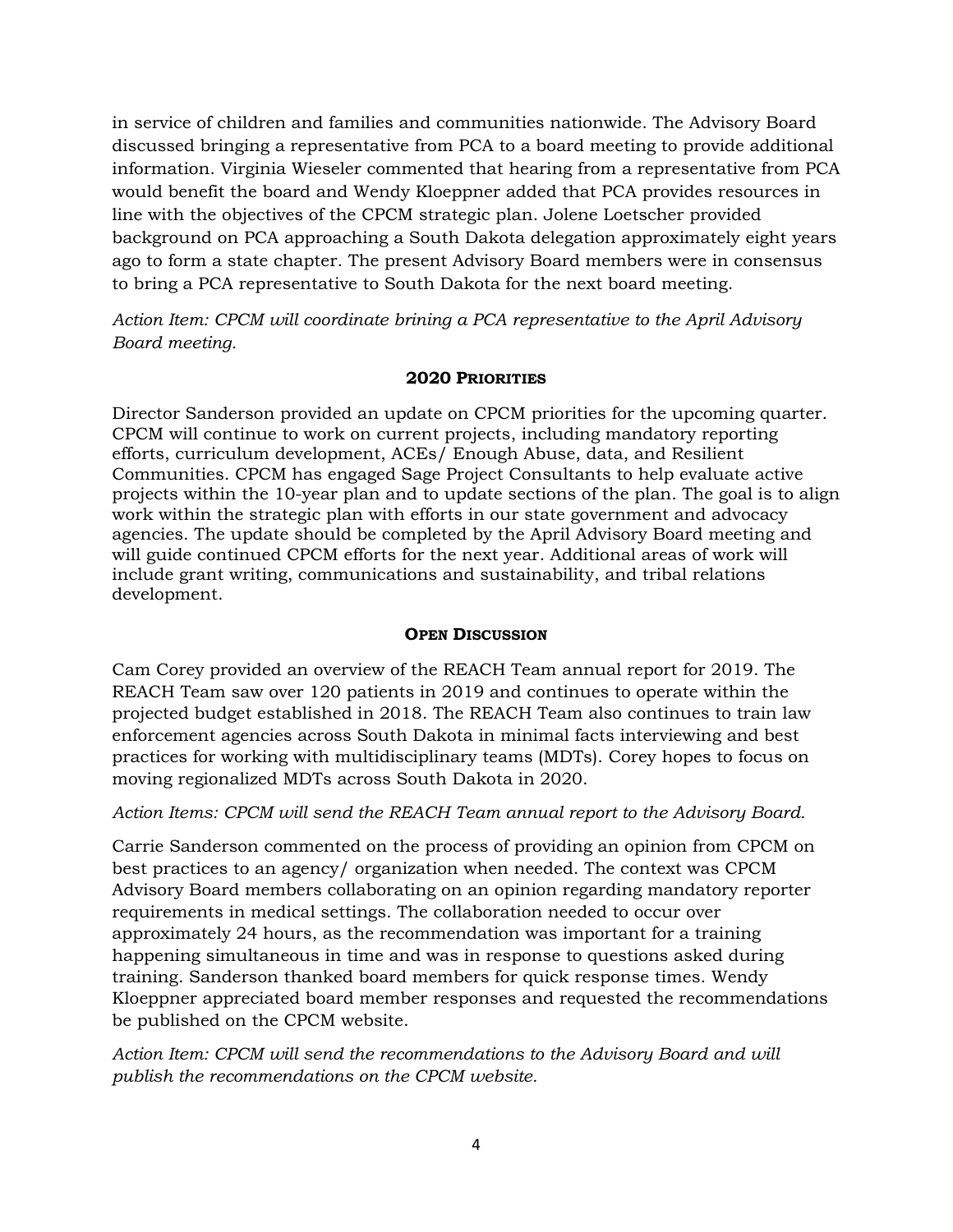in service of children and families and communities nationwide. The Advisory Board discussed bringing a representative from PCA to a board meeting to provide additional information. Virginia Wieseler commented that hearing from a representative from PCA would benefit the board and Wendy Kloeppner added that PCA provides resources in line with the objectives of the CPCM strategic plan. Jolene Loetscher provided background on PCA approaching a South Dakota delegation approximately eight years ago to form a state chapter. The present Advisory Board members were in consensus to bring a PCA representative to South Dakota for the next board meeting.

*Action Item: CPCM will coordinate brining a PCA representative to the April Advisory Board meeting.* 

### **2020 PRIORITIES**

Director Sanderson provided an update on CPCM priorities for the upcoming quarter. CPCM will continue to work on current projects, including mandatory reporting efforts, curriculum development, ACEs/ Enough Abuse, data, and Resilient Communities. CPCM has engaged Sage Project Consultants to help evaluate active projects within the 10-year plan and to update sections of the plan. The goal is to align work within the strategic plan with efforts in our state government and advocacy agencies. The update should be completed by the April Advisory Board meeting and will guide continued CPCM efforts for the next year. Additional areas of work will include grant writing, communications and sustainability, and tribal relations development.

## **OPEN DISCUSSION**

Cam Corey provided an overview of the REACH Team annual report for 2019. The REACH Team saw over 120 patients in 2019 and continues to operate within the projected budget established in 2018. The REACH Team also continues to train law enforcement agencies across South Dakota in minimal facts interviewing and best practices for working with multidisciplinary teams (MDTs). Corey hopes to focus on moving regionalized MDTs across South Dakota in 2020.

## *Action Items: CPCM will send the REACH Team annual report to the Advisory Board.*

Carrie Sanderson commented on the process of providing an opinion from CPCM on best practices to an agency/ organization when needed. The context was CPCM Advisory Board members collaborating on an opinion regarding mandatory reporter requirements in medical settings. The collaboration needed to occur over approximately 24 hours, as the recommendation was important for a training happening simultaneous in time and was in response to questions asked during training. Sanderson thanked board members for quick response times. Wendy Kloeppner appreciated board member responses and requested the recommendations be published on the CPCM website.

*Action Item: CPCM will send the recommendations to the Advisory Board and will publish the recommendations on the CPCM website.*